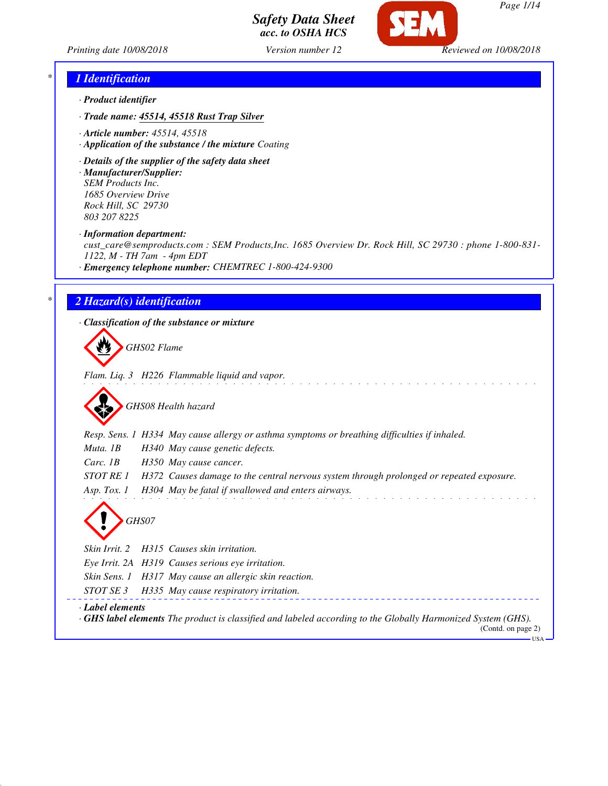



*Page 1/14*

*Printing date 10/08/2018 Version number 12 Reviewed on 10/08/2018*

#### *\* 1 Identification*

- *· Product identifier*
- *· Trade name: 45514, 45518 Rust Trap Silver*
- *· Article number: 45514, 45518*
- *· Application of the substance / the mixture Coating*
- *· Details of the supplier of the safety data sheet*
- *· Manufacturer/Supplier: SEM Products Inc. 1685 Overview Drive Rock Hill, SC 29730 803 207 8225*
- *· Information department:*

*cust\_care@semproducts.com : SEM Products,Inc. 1685 Overview Dr. Rock Hill, SC 29730 : phone 1-800-831- 1122, M - TH 7am - 4pm EDT*

*· Emergency telephone number: CHEMTREC 1-800-424-9300*

#### *\* 2 Hazard(s) identification*

*· Classification of the substance or mixture*

*GHS02 Flame*

*Flam. Liq. 3 H226 Flammable liquid and vapor.*

*GHS08 Health hazard*

*Resp. Sens. 1 H334 May cause allergy or asthma symptoms or breathing difficulties if inhaled.*

*Muta. 1B H340 May cause genetic defects.*

*Carc. 1B H350 May cause cancer.*

*STOT RE 1 H372 Causes damage to the central nervous system through prolonged or repeated exposure.*

*Asp. Tox. 1 H304 May be fatal if swallowed and enters airways.*



*Skin Irrit. 2 H315 Causes skin irritation. Eye Irrit. 2A H319 Causes serious eye irritation. Skin Sens. 1 H317 May cause an allergic skin reaction. STOT SE 3 H335 May cause respiratory irritation.*

*· Label elements*

*· GHS label elements The product is classified and labeled according to the Globally Harmonized System (GHS).* (Contd. on page 2)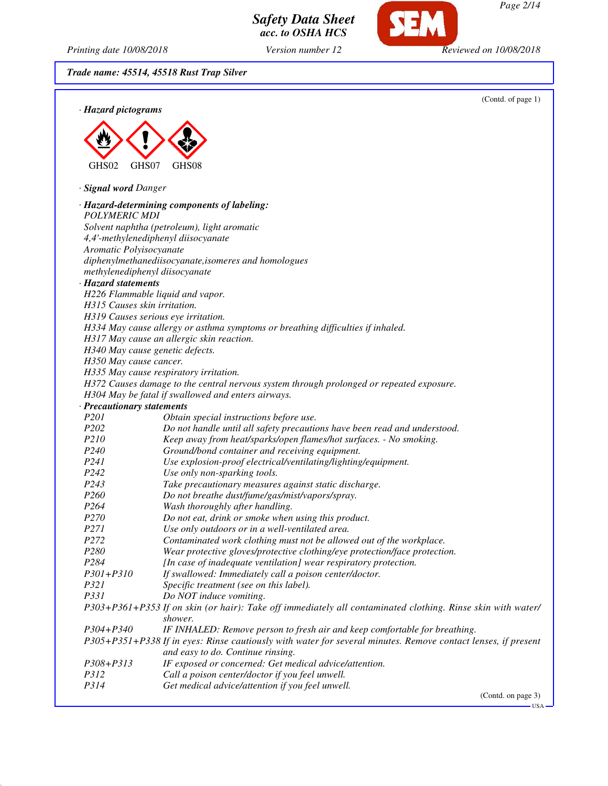

*acc. to OSHA HCS*

*Safety Data Sheet*

*Printing date 10/08/2018 Version number 12 Reviewed on 10/08/2018*

*Trade name: 45514, 45518 Rust Trap Silver*

|                                     |                                                                                                                                                    | (Contd. of page 1) |
|-------------------------------------|----------------------------------------------------------------------------------------------------------------------------------------------------|--------------------|
| · Hazard pictograms                 |                                                                                                                                                    |                    |
|                                     |                                                                                                                                                    |                    |
|                                     |                                                                                                                                                    |                    |
|                                     |                                                                                                                                                    |                    |
|                                     |                                                                                                                                                    |                    |
| GHS02<br>GHS07                      | GHS08                                                                                                                                              |                    |
| · Signal word Danger                |                                                                                                                                                    |                    |
|                                     | · Hazard-determining components of labeling:                                                                                                       |                    |
| <b>POLYMERIC MDI</b>                |                                                                                                                                                    |                    |
|                                     | Solvent naphtha (petroleum), light aromatic                                                                                                        |                    |
|                                     | 4,4'-methylenediphenyl diisocyanate                                                                                                                |                    |
| Aromatic Polyisocyanate             |                                                                                                                                                    |                    |
|                                     | diphenylmethanediisocyanate, isomeres and homologues                                                                                               |                    |
| methylenediphenyl diisocyanate      |                                                                                                                                                    |                    |
| · Hazard statements                 |                                                                                                                                                    |                    |
| H226 Flammable liquid and vapor.    |                                                                                                                                                    |                    |
| H315 Causes skin irritation.        |                                                                                                                                                    |                    |
| H319 Causes serious eye irritation. |                                                                                                                                                    |                    |
|                                     | H334 May cause allergy or asthma symptoms or breathing difficulties if inhaled.                                                                    |                    |
|                                     | H317 May cause an allergic skin reaction.                                                                                                          |                    |
| H340 May cause genetic defects.     |                                                                                                                                                    |                    |
| H350 May cause cancer.              |                                                                                                                                                    |                    |
|                                     | H335 May cause respiratory irritation.                                                                                                             |                    |
|                                     | H372 Causes damage to the central nervous system through prolonged or repeated exposure.<br>H304 May be fatal if swallowed and enters airways.     |                    |
| · Precautionary statements          |                                                                                                                                                    |                    |
| P201                                | Obtain special instructions before use.                                                                                                            |                    |
| P202                                | Do not handle until all safety precautions have been read and understood.                                                                          |                    |
| P210                                | Keep away from heat/sparks/open flames/hot surfaces. - No smoking.                                                                                 |                    |
| P <sub>240</sub>                    | Ground/bond container and receiving equipment.                                                                                                     |                    |
| P241                                | Use explosion-proof electrical/ventilating/lighting/equipment.                                                                                     |                    |
| P242                                | Use only non-sparking tools.                                                                                                                       |                    |
| P243                                | Take precautionary measures against static discharge.                                                                                              |                    |
| P260                                | Do not breathe dust/fume/gas/mist/vapors/spray.                                                                                                    |                    |
| P <sub>264</sub>                    | Wash thoroughly after handling.                                                                                                                    |                    |
| P <sub>270</sub>                    | Do not eat, drink or smoke when using this product.                                                                                                |                    |
| P271                                | Use only outdoors or in a well-ventilated area.                                                                                                    |                    |
| P <sub>272</sub>                    | Contaminated work clothing must not be allowed out of the workplace.                                                                               |                    |
| P280                                | Wear protective gloves/protective clothing/eye protection/face protection.                                                                         |                    |
| P284                                | [In case of inadequate ventilation] wear respiratory protection.                                                                                   |                    |
| P301+P310<br>P321                   | If swallowed: Immediately call a poison center/doctor.                                                                                             |                    |
| P331                                | Specific treatment (see on this label).<br>Do NOT induce vomiting.                                                                                 |                    |
|                                     | P303+P361+P353 If on skin (or hair): Take off immediately all contaminated clothing. Rinse skin with water/                                        |                    |
|                                     | shower.                                                                                                                                            |                    |
| P304+P340                           | IF INHALED: Remove person to fresh air and keep comfortable for breathing.                                                                         |                    |
|                                     | P305+P351+P338 If in eyes: Rinse cautiously with water for several minutes. Remove contact lenses, if present<br>and easy to do. Continue rinsing. |                    |
| P308+P313                           | IF exposed or concerned: Get medical advice/attention.                                                                                             |                    |
| P312                                | Call a poison center/doctor if you feel unwell.                                                                                                    |                    |
| P314                                | Get medical advice/attention if you feel unwell.                                                                                                   |                    |
|                                     |                                                                                                                                                    | (Contd. on page 3) |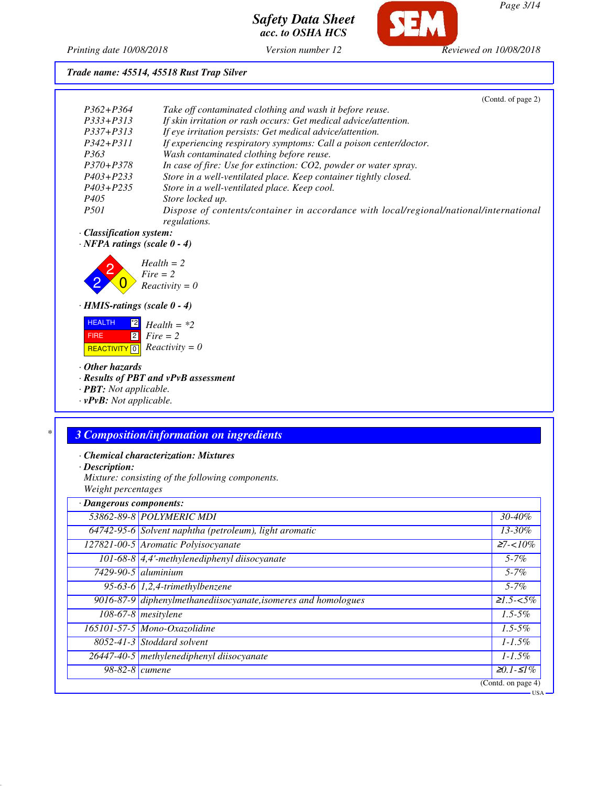Œ

*Printing date 10/08/2018 Version number 12 Reviewed on 10/08/2018*

#### *Trade name: 45514, 45518 Rust Trap Silver*

|               | (Contd. of page 2)                                                                                     |
|---------------|--------------------------------------------------------------------------------------------------------|
| $P362 + P364$ | Take off contaminated clothing and wash it before reuse.                                               |
| $P333+P313$   | If skin irritation or rash occurs: Get medical advice/attention.                                       |
| $P337 + P313$ | If eye irritation persists: Get medical advice/attention.                                              |
| $P342 + P311$ | If experiencing respiratory symptoms: Call a poison center/doctor.                                     |
| P363          | Wash contaminated clothing before reuse.                                                               |
| $P370 + P378$ | In case of fire: Use for extinction: CO2, powder or water spray.                                       |
| $P403 + P233$ | Store in a well-ventilated place. Keep container tightly closed.                                       |
| $P403 + P235$ | Store in a well-ventilated place. Keep cool.                                                           |
| P405          | Store locked up.                                                                                       |
| <i>P501</i>   | Dispose of contents/container in accordance with local/regional/national/international<br>regulations. |

*· Classification system:*

*· NFPA ratings (scale 0 - 4)*



#### *· HMIS-ratings (scale 0 - 4)*

 HEALTH FIRE  $R$ **REACTIVITY**  $\boxed{0}$  *Reactivity = 0*  $\mathbb{Z}$  *Health* = \*2 2 *Fire = 2*

#### *· Other hazards*

*· Results of PBT and vPvB assessment*

*· PBT: Not applicable.*

*· vPvB: Not applicable.*

#### *\* 3 Composition/information on ingredients*

*· Chemical characterization: Mixtures*

*· Description:*

*Mixture: consisting of the following components. Weight percentages*

| · Dangerous components: |                                                                |                   |
|-------------------------|----------------------------------------------------------------|-------------------|
|                         | 53862-89-8 POLYMERIC MDI                                       | 30-40%            |
|                         | 64742-95-6 Solvent naphtha (petroleum), light aromatic         | 13-30%            |
|                         | 127821-00-5 Aromatic Polyisocyanate                            | $27 - 10\%$       |
|                         | $101-68-8$ 4,4'-methylenediphenyl diisocyanate                 | $5 - 7\%$         |
|                         | $7429-90-5$ aluminium                                          | $5 - 7\%$         |
|                         | 95-63-6 $1,2,4$ -trimethylbenzene                              | $5 - 7\%$         |
|                         | 9016-87-9 diphenylmethanediisocyanate, isomeres and homologues | $\geq 1.5 - 5\%$  |
|                         |                                                                |                   |
|                         | $108-67-8$ mesitylene                                          | $1.5 - 5\%$       |
|                         | 165101-57-5 Mono-Oxazolidine                                   | $1.5 - 5\%$       |
|                         | $8052 - 41 - 3$ Stoddard solvent                               | $1 - 1.5\%$       |
|                         | 26447-40-5 methylenediphenyl diisocyanate                      | $1 - 1.5\%$       |
| $98-82-8$ cumene        |                                                                | $\geq 0.1 - 51\%$ |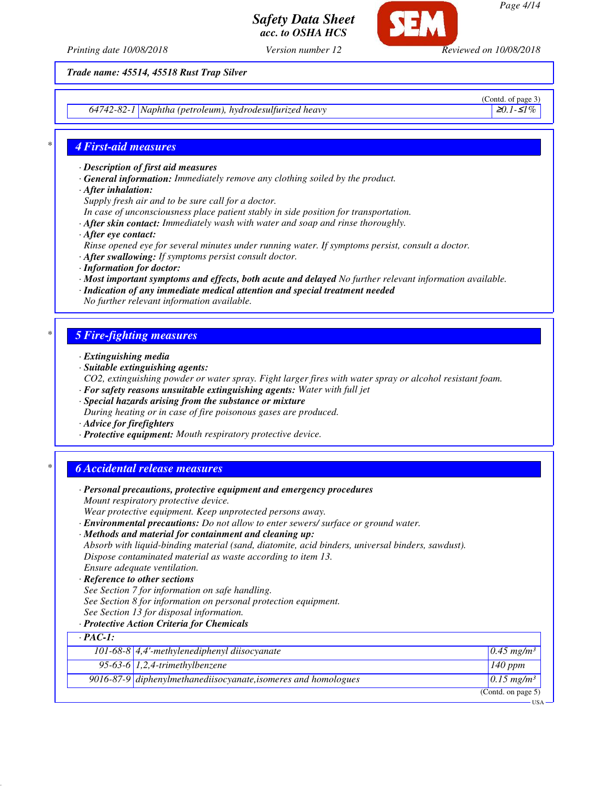



*Page 4/14*

*Printing date 10/08/2018 Version number 12 Reviewed on 10/08/2018*

*Trade name: 45514, 45518 Rust Trap Silver*

*64742-82-1 Naphtha (petroleum), hydrodesulfurized heavy* ≥*0.1-*≤*1%*

(Contd. of page 3)

#### *\* 4 First-aid measures*

- *· Description of first aid measures*
- *· General information: Immediately remove any clothing soiled by the product.*
- *· After inhalation:*

*Supply fresh air and to be sure call for a doctor.*

- *In case of unconsciousness place patient stably in side position for transportation.*
- *· After skin contact: Immediately wash with water and soap and rinse thoroughly.*
- *· After eye contact:*
- *Rinse opened eye for several minutes under running water. If symptoms persist, consult a doctor.*
- *· After swallowing: If symptoms persist consult doctor.*
- *· Information for doctor:*
- *· Most important symptoms and effects, both acute and delayed No further relevant information available.*
- *· Indication of any immediate medical attention and special treatment needed No further relevant information available.*

#### *\* 5 Fire-fighting measures*

- *· Extinguishing media*
- *· Suitable extinguishing agents:*
- *CO2, extinguishing powder or water spray. Fight larger fires with water spray or alcohol resistant foam.*
- *· For safety reasons unsuitable extinguishing agents: Water with full jet*
- *· Special hazards arising from the substance or mixture*
- *During heating or in case of fire poisonous gases are produced.*
- *· Advice for firefighters*
- *· Protective equipment: Mouth respiratory protective device.*

#### *\* 6 Accidental release measures*

|                | · Personal precautions, protective equipment and emergency procedures                            |                          |
|----------------|--------------------------------------------------------------------------------------------------|--------------------------|
|                | Mount respiratory protective device.                                                             |                          |
|                | Wear protective equipment. Keep unprotected persons away.                                        |                          |
|                | · Environmental precautions: Do not allow to enter sewers/ surface or ground water.              |                          |
|                | · Methods and material for containment and cleaning up:                                          |                          |
|                | Absorb with liquid-binding material (sand, diatomite, acid binders, universal binders, sawdust). |                          |
|                | Dispose contaminated material as waste according to item 13.                                     |                          |
|                | Ensure adequate ventilation.                                                                     |                          |
|                | · Reference to other sections                                                                    |                          |
|                | See Section 7 for information on safe handling.                                                  |                          |
|                | See Section 8 for information on personal protection equipment.                                  |                          |
|                | See Section 13 for disposal information.                                                         |                          |
|                | · Protective Action Criteria for Chemicals                                                       |                          |
| $\cdot$ PAC-1: |                                                                                                  |                          |
|                | 101-68-8 $\vert$ 4,4'-methylenediphenyl diisocyanate                                             | $0.45$ mg/m <sup>3</sup> |
|                | 95-63-6 $1,2,4$ -trimethylbenzene                                                                | $\overline{1}40$ ppm     |
|                | $9016-87-9$ diphenylmethanediisocyanate, isomeres and homologues                                 | $0.15$ mg/m <sup>3</sup> |
|                |                                                                                                  | (Contd. on page 5)       |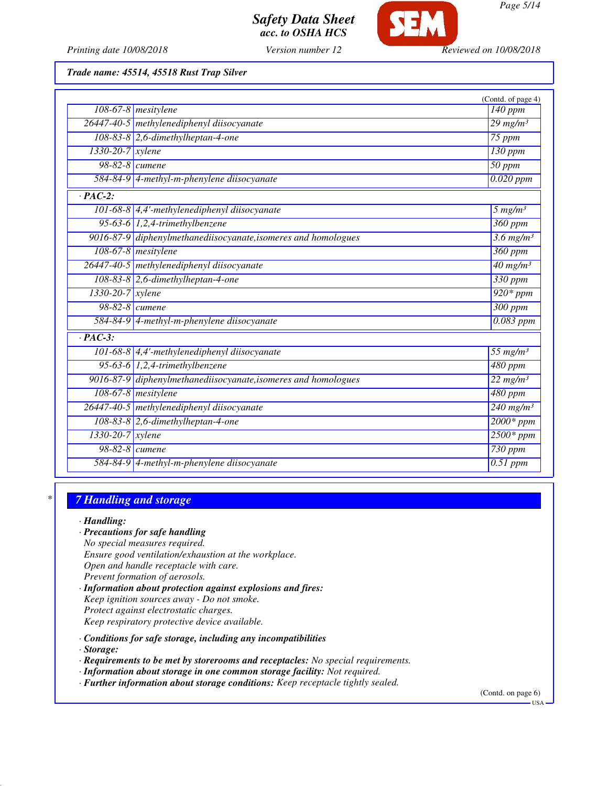

*Printing date 10/08/2018 Version number 12 Reviewed on 10/08/2018*

*Trade name: 45514, 45518 Rust Trap Silver*

|                       |                                                                | (Contd. of page 4)              |
|-----------------------|----------------------------------------------------------------|---------------------------------|
|                       | $108-67-8$ mesitylene                                          | 140 ppm                         |
|                       | 26447-40-5 methylenediphenyl diisocyanate                      | $29$ mg/m <sup>3</sup>          |
|                       | $108-83-8$ 2,6-dimethylheptan-4-one                            | 75 ppm                          |
| 1330-20-7 xylene      |                                                                | $130$ ppm                       |
| 98-82-8 <i>cumene</i> |                                                                | $50$ ppm                        |
|                       | 584-84-9 4-methyl-m-phenylene diisocyanate                     | $0.020$ ppm                     |
| $\cdot$ PAC-2:        |                                                                |                                 |
|                       | 101-68-8 4,4'-methylenediphenyl diisocyanate                   | $5$ mg/m <sup>3</sup>           |
|                       | 95-63-6 $1,2,4$ -trimethylbenzene                              | 360 ppm                         |
|                       | 9016-87-9 diphenylmethanediisocyanate, isomeres and homologues | $\frac{3.6 \text{ mg}}{m^3}$    |
|                       | 108-67-8 mesitylene                                            | $360$ ppm                       |
|                       | 26447-40-5 methylenediphenyl diisocyanate                      | $40 \frac{\text{mg}}{\text{m}}$ |
|                       | $108-83-8$ 2,6-dimethylheptan-4-one                            | 330 ppm                         |
| 1330-20-7 xylene      |                                                                | $920*ppm$                       |
| 98-82-8 cumene        |                                                                | $\overline{300}$ ppm            |
|                       | 584-84-9 4-methyl-m-phenylene diisocyanate                     | 0.083 ppm                       |
| $\cdot$ PAC-3:        |                                                                |                                 |
|                       | 101-68-8 $\vert$ 4,4'-methylenediphenyl diisocyanate           | 55 $mg/m3$                      |
|                       | 95-63-6 $1,2,4$ -trimethylbenzene                              | $\overline{480}$ ppm            |
|                       | 9016-87-9 diphenylmethanediisocyanate, isomeres and homologues | $22$ mg/m <sup>3</sup>          |
|                       | 108-67-8 mesitylene                                            | 480 ppm                         |
|                       | 26447-40-5 methylenediphenyl diisocyanate                      | $240$ mg/m <sup>3</sup>         |
|                       | $108-83-8$ 2,6-dimethylheptan-4-one                            | $2000*ppm$                      |
| $1330-20-7$ xylene    |                                                                | $2500*ppm$                      |
| 98-82-8 cumene        |                                                                | $730$ ppm                       |
|                       | 584-84-9 4-methyl-m-phenylene diisocyanate                     | $0.51$ ppm                      |

## *\* 7 Handling and storage*

#### *· Handling:*

- *· Precautions for safe handling*
- *No special measures required.*
- *Ensure good ventilation/exhaustion at the workplace.*
- *Open and handle receptacle with care.*
- *Prevent formation of aerosols.*
- *· Information about protection against explosions and fires: Keep ignition sources away - Do not smoke. Protect against electrostatic charges.*
- *Keep respiratory protective device available.*
- *· Conditions for safe storage, including any incompatibilities*
- *· Storage:*
- *· Requirements to be met by storerooms and receptacles: No special requirements.*
- *· Information about storage in one common storage facility: Not required.*
- *· Further information about storage conditions: Keep receptacle tightly sealed.*

(Contd. on page 6)

USA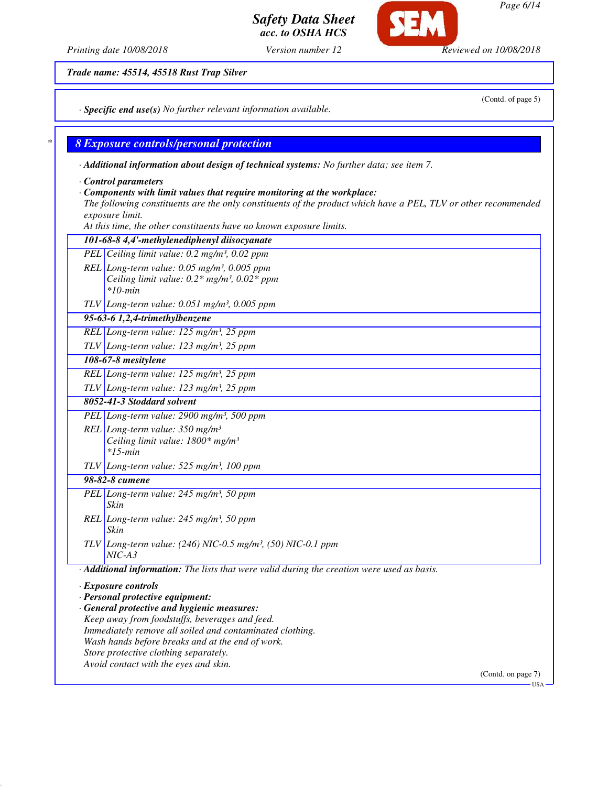*Page 6/14*

## *Safety Data Sheet acc. to OSHA HCS*

*Trade name: 45514, 45518 Rust Trap Silver*

*· Specific end use(s) No further relevant information available.*

### *\* 8 Exposure controls/personal protection*

*· Additional information about design of technical systems: No further data; see item 7.*

*· Control parameters*

#### *· Components with limit values that require monitoring at the workplace:*

*The following constituents are the only constituents of the product which have a PEL, TLV or other recommended exposure limit.*

*At this time, the other constituents have no known exposure limits.*

|            | 101-68-8 4,4'-methylenediphenyl diisocyanate                                                                 |
|------------|--------------------------------------------------------------------------------------------------------------|
|            | PEL Ceiling limit value: 0.2 mg/m <sup>3</sup> , 0.02 ppm                                                    |
|            | REL Long-term value: $0.05$ mg/m <sup>3</sup> , $0.005$ ppm                                                  |
|            | Ceiling limit value: $0.2*$ mg/m <sup>3</sup> , $0.02*$ ppm                                                  |
|            | $*10$ -min                                                                                                   |
|            | TLV Long-term value: $0.051$ mg/m <sup>3</sup> , $0.005$ ppm                                                 |
|            | $95-63-6$ 1,2,4-trimethylbenzene                                                                             |
|            | REL Long-term value: 125 mg/m <sup>3</sup> , 25 ppm                                                          |
|            | TLV Long-term value: $123$ mg/m <sup>3</sup> , 25 ppm                                                        |
|            | 108-67-8 mesitylene                                                                                          |
|            | REL Long-term value: $125$ mg/m <sup>3</sup> , $25$ ppm                                                      |
|            | TLV Long-term value: $123$ mg/m <sup>3</sup> , 25 ppm                                                        |
|            | 8052-41-3 Stoddard solvent                                                                                   |
|            | PEL Long-term value: 2900 mg/m <sup>3</sup> , 500 ppm                                                        |
|            | REL Long-term value: $350$ mg/m <sup>3</sup>                                                                 |
|            | Ceiling limit value: 1800* mg/m <sup>3</sup>                                                                 |
|            | $*15$ -min                                                                                                   |
|            | $TLV$ Long-term value: 525 mg/m <sup>3</sup> , 100 ppm                                                       |
|            | 98-82-8 cumene                                                                                               |
|            | PEL Long-term value: 245 mg/m <sup>3</sup> , 50 ppm                                                          |
|            | Skin                                                                                                         |
|            | REL Long-term value: 245 mg/m <sup>3</sup> , 50 ppm                                                          |
|            | Skin                                                                                                         |
| <b>TLV</b> | Long-term value: (246) NIC-0.5 mg/m <sup>3</sup> , (50) NIC-0.1 ppm                                          |
|            | $NIC-A3$                                                                                                     |
|            | · Additional information: The lists that were valid during the creation were used as basis.                  |
|            | · Exposure controls                                                                                          |
|            | · Personal protective equipment:                                                                             |
|            | · General protective and hygienic measures:                                                                  |
|            | Keep away from foodstuffs, beverages and feed.                                                               |
|            | Immediately remove all soiled and contaminated clothing.<br>Wash hands before breaks and at the end of work. |
|            | Store protective clothing separately.                                                                        |
|            | Avoid contact with the eyes and skin.                                                                        |
|            |                                                                                                              |

(Contd. on page 7) USA

*Printing date 10/08/2018 Version number 12 Reviewed on 10/08/2018*

SET.

(Contd. of page 5)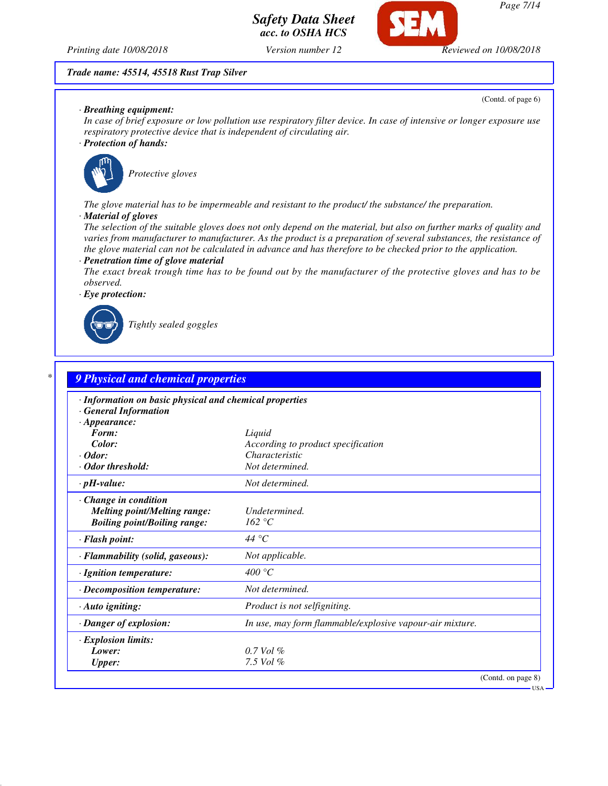

*Page 7/14*

*Printing date 10/08/2018 Version number 12 Reviewed on 10/08/2018*

#### *Trade name: 45514, 45518 Rust Trap Silver*

*· Breathing equipment:*

(Contd. of page 6)

*In case of brief exposure or low pollution use respiratory filter device. In case of intensive or longer exposure use respiratory protective device that is independent of circulating air.*

*Safety Data Sheet acc. to OSHA HCS*

*· Protection of hands:*



*Protective gloves*

*The glove material has to be impermeable and resistant to the product/ the substance/ the preparation.*

*· Material of gloves*

*The selection of the suitable gloves does not only depend on the material, but also on further marks of quality and varies from manufacturer to manufacturer. As the product is a preparation of several substances, the resistance of the glove material can not be calculated in advance and has therefore to be checked prior to the application.*

*· Penetration time of glove material*

*The exact break trough time has to be found out by the manufacturer of the protective gloves and has to be observed.*

*· Eye protection:*



*Tightly sealed goggles*

| · Information on basic physical and chemical properties |                                                          |
|---------------------------------------------------------|----------------------------------------------------------|
| $\cdot$ General Information                             |                                                          |
| $\cdot$ Appearance:                                     |                                                          |
| Form:                                                   | Liquid                                                   |
| Color:<br>$\cdot$ Odor:                                 | According to product specification<br>Characteristic     |
| · Odor threshold:                                       | Not determined.                                          |
| $\cdot$ pH-value:                                       | Not determined.                                          |
| Change in condition                                     |                                                          |
| <b>Melting point/Melting range:</b>                     | Undetermined.                                            |
| <b>Boiling point/Boiling range:</b>                     | 162 °C                                                   |
| · Flash point:                                          | 44 °C                                                    |
| · Flammability (solid, gaseous):                        | Not applicable.                                          |
| · Ignition temperature:                                 | 400 °C                                                   |
| $\cdot$ Decomposition temperature:                      | Not determined.                                          |
| $\cdot$ Auto igniting:                                  | <i>Product is not selfigniting.</i>                      |
| · Danger of explosion:                                  | In use, may form flammable/explosive vapour-air mixture. |
| · Explosion limits:                                     |                                                          |
| Lower:                                                  | $0.7$ Vol $%$                                            |
| <b>Upper:</b>                                           | 7.5 Vol $%$                                              |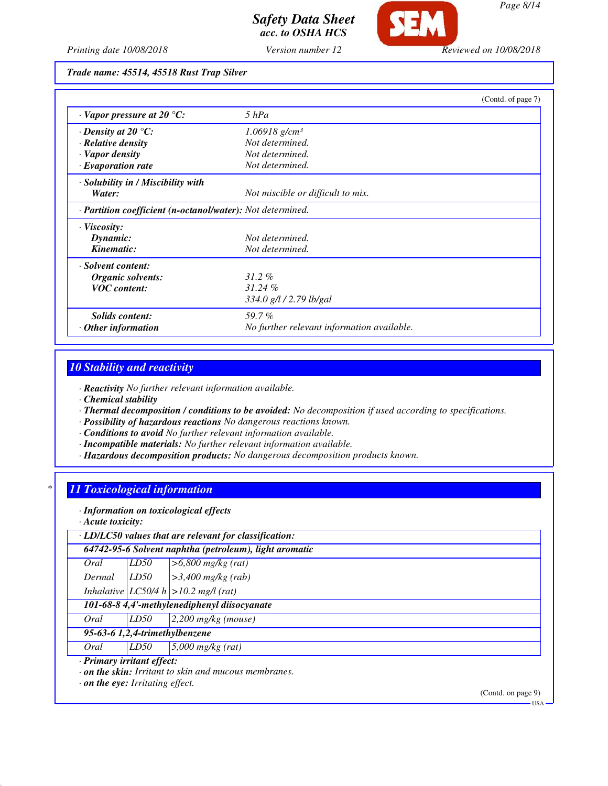

*Printing date 10/08/2018 Version number 12 Reviewed on 10/08/2018*

*Trade name: 45514, 45518 Rust Trap Silver*

|                                                            | (Contd. of page 7)                         |  |
|------------------------------------------------------------|--------------------------------------------|--|
| $\cdot$ Vapor pressure at 20 $\degree$ C:                  | $5$ $hPa$                                  |  |
| $\cdot$ Density at 20 $\degree$ C:                         | $1.06918$ g/cm <sup>3</sup>                |  |
| $\cdot$ Relative density                                   | Not determined.                            |  |
| · Vapor density                                            | Not determined.                            |  |
| $\cdot$ Evaporation rate                                   | Not determined.                            |  |
| · Solubility in / Miscibility with                         |                                            |  |
| Water:                                                     | Not miscible or difficult to mix.          |  |
| · Partition coefficient (n-octanol/water): Not determined. |                                            |  |
| $\cdot$ Viscosity:                                         |                                            |  |
| Dynamic:                                                   | Not determined.                            |  |
| Kinematic:                                                 | Not determined.                            |  |
| · Solvent content:                                         |                                            |  |
| Organic solvents:                                          | $31.2\%$                                   |  |
| <b>VOC</b> content:                                        | 31.24%                                     |  |
|                                                            | 334.0 g/l / 2.79 lb/gal                    |  |
| Solids content:                                            | 59.7%                                      |  |
| $\cdot$ Other information                                  | No further relevant information available. |  |

## *10 Stability and reactivity*

*· Reactivity No further relevant information available.*

*· Chemical stability*

- *· Thermal decomposition / conditions to be avoided: No decomposition if used according to specifications.*
- *· Possibility of hazardous reactions No dangerous reactions known.*
- *· Conditions to avoid No further relevant information available.*
- *· Incompatible materials: No further relevant information available.*
- *· Hazardous decomposition products: No dangerous decomposition products known.*

## *\* 11 Toxicological information*

*· Information on toxicological effects*

*· Acute toxicity:*

| $\cdot$ LD/LC50 values that are relevant for classification: |                                |                                                        |  |  |
|--------------------------------------------------------------|--------------------------------|--------------------------------------------------------|--|--|
|                                                              |                                | 64742-95-6 Solvent naphtha (petroleum), light aromatic |  |  |
| Oral                                                         | LD50                           | $> 6,800$ mg/kg (rat)                                  |  |  |
| Dermal                                                       | LD50                           | $\geq$ 3,400 mg/kg (rab)                               |  |  |
|                                                              |                                | Inhalative $ LCS0/4 h  > 10.2$ mg/l (rat)              |  |  |
| 101-68-8 4,4'-methylenediphenyl diisocyanate                 |                                |                                                        |  |  |
| Oral                                                         | LD50                           | $2,200$ mg/kg (mouse)                                  |  |  |
|                                                              | 95-63-6 1,2,4-trimethylbenzene |                                                        |  |  |
| Oral                                                         | LD50                           | $5,000$ mg/kg (rat)                                    |  |  |
| · Primary irritant effect:                                   |                                |                                                        |  |  |
| $\cdot$ on the skin: Irritant to skin and mucous membranes.  |                                |                                                        |  |  |
| $\cdot$ on the eye: Irritating effect.                       |                                |                                                        |  |  |

(Contd. on page 9)

USA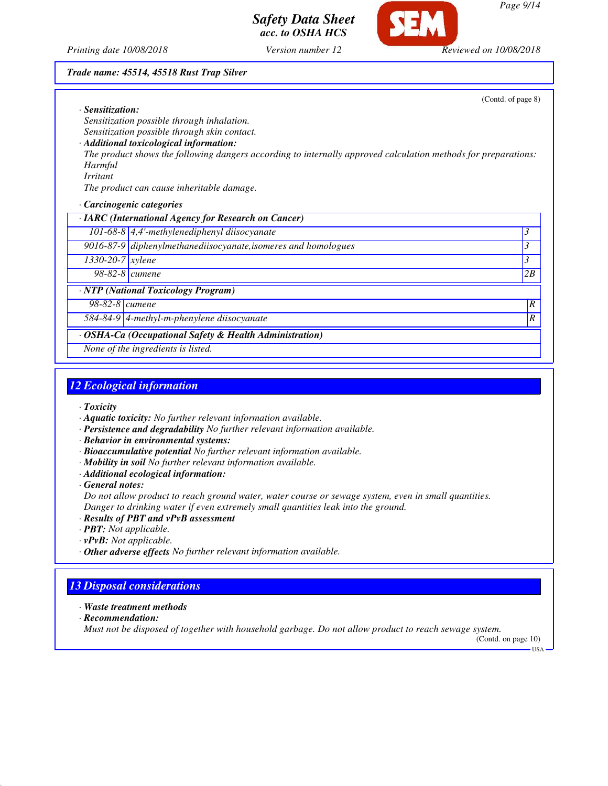

*Printing date 10/08/2018 Version number 12 Reviewed on 10/08/2018*

#### *Trade name: 45514, 45518 Rust Trap Silver*

(Contd. of page 8)

*· Sensitization: Sensitization possible through inhalation. Sensitization possible through skin contact.*

*· Additional toxicological information:*

*The product shows the following dangers according to internally approved calculation methods for preparations: Harmful*

*Irritant*

*The product can cause inheritable damage.*

*· Carcinogenic categories*

| · IARC (International Agency for Research on Cancer)    |                                                                |                  |
|---------------------------------------------------------|----------------------------------------------------------------|------------------|
|                                                         | 101-68-8 $\left $ 4,4'-methylenediphenyl diisocyanate          | 3                |
|                                                         | 9016-87-9 diphenylmethanediisocyanate, isomeres and homologues | $\mathcal{E}$    |
| $\sqrt{1330-20-7}$ xylene                               |                                                                | $\beta$          |
| 98-82-8 <i>cumene</i>                                   |                                                                | 2B               |
|                                                         | · NTP (National Toxicology Program)                            |                  |
| $98-82-8$ cumene                                        |                                                                | $\boldsymbol{R}$ |
|                                                         | 584-84-9 4-methyl-m-phenylene diisocyanate                     | R                |
| · OSHA-Ca (Occupational Safety & Health Administration) |                                                                |                  |
| None of the ingredients is listed.                      |                                                                |                  |

## *12 Ecological information*

*· Toxicity*

- *· Aquatic toxicity: No further relevant information available.*
- *· Persistence and degradability No further relevant information available.*

*· Behavior in environmental systems:*

- *· Bioaccumulative potential No further relevant information available.*
- *· Mobility in soil No further relevant information available.*
- *· Additional ecological information:*

*· General notes:*

*Do not allow product to reach ground water, water course or sewage system, even in small quantities. Danger to drinking water if even extremely small quantities leak into the ground.*

- *· Results of PBT and vPvB assessment*
- *· PBT: Not applicable.*
- *· vPvB: Not applicable.*
- *· Other adverse effects No further relevant information available.*

## *13 Disposal considerations*

- *· Waste treatment methods*
- *· Recommendation:*

*Must not be disposed of together with household garbage. Do not allow product to reach sewage system.*

(Contd. on page 10) USA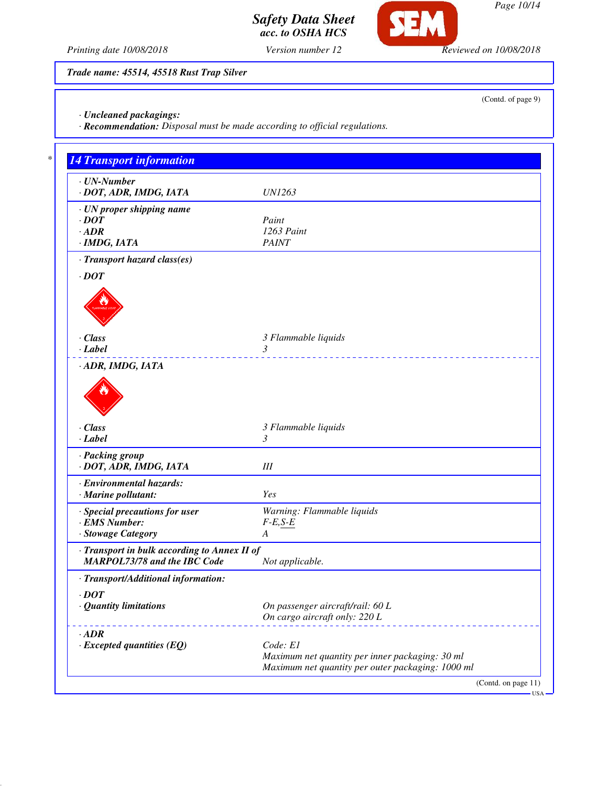*Page 10/14*

*Safety Data Sheet acc. to OSHA HCS*

**SEM** 

*Printing date 10/08/2018 Version number 12 Reviewed on 10/08/2018*

*Trade name: 45514, 45518 Rust Trap Silver*

*· Uncleaned packagings:*

*· Recommendation: Disposal must be made according to official regulations.*

| $\cdot$ UN-Number<br>· DOT, ADR, IMDG, IATA  | <i>UN1263</i>                                     |
|----------------------------------------------|---------------------------------------------------|
| · UN proper shipping name                    |                                                   |
| $\cdot$ DOT                                  | Paint                                             |
| $\cdot$ ADR                                  | 1263 Paint<br><b>PAINT</b>                        |
| · IMDG, IATA                                 |                                                   |
| · Transport hazard class(es)                 |                                                   |
| $\cdot$ DOT                                  |                                                   |
|                                              |                                                   |
|                                              |                                                   |
|                                              |                                                   |
| $\cdot$ Class                                | 3 Flammable liquids                               |
| $\cdot$ Label                                | 3                                                 |
| · ADR, IMDG, IATA                            |                                                   |
|                                              |                                                   |
|                                              |                                                   |
|                                              |                                                   |
|                                              |                                                   |
| $\cdot$ Class                                | 3 Flammable liquids                               |
| $\cdot$ Label                                | 3                                                 |
| · Packing group                              |                                                   |
| · DOT, ADR, IMDG, IATA                       | III                                               |
| · Environmental hazards:                     |                                                   |
| $\cdot$ Marine pollutant:                    | <b>Yes</b>                                        |
| · Special precautions for user               | Warning: Flammable liquids                        |
| · EMS Number:                                | $F-E, S-E$                                        |
| · Stowage Category                           | A                                                 |
| · Transport in bulk according to Annex II of |                                                   |
| <b>MARPOL73/78 and the IBC Code</b>          | Not applicable.                                   |
| · Transport/Additional information:          |                                                   |
| $\cdot$ DOT                                  |                                                   |
| · Quantity limitations                       | On passenger aircraft/rail: 60 L                  |
|                                              | On cargo aircraft only: 220 L                     |
| $\cdot$ <i>ADR</i>                           |                                                   |
| $\cdot$ Excepted quantities (EQ)             | Code: E1                                          |
|                                              | Maximum net quantity per inner packaging: 30 ml   |
|                                              | Maximum net quantity per outer packaging: 1000 ml |

(Contd. of page 9)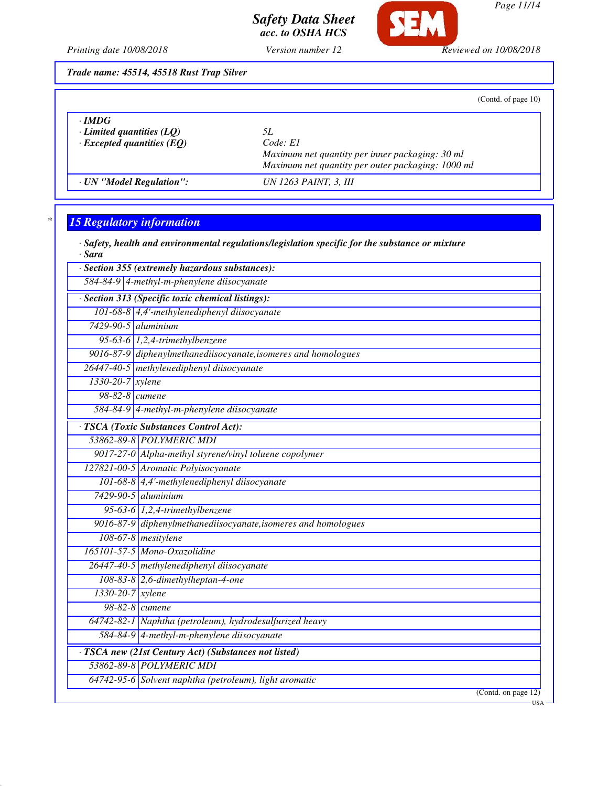

*Page 11/14*

*Printing date 10/08/2018 Version number 12 Reviewed on 10/08/2018*

*acc. to OSHA HCS*

*Trade name: 45514, 45518 Rust Trap Silver*

| (Contd. of page 10) |  |  |
|---------------------|--|--|

| $\cdot$ IMDG<br>$\cdot$ Limited quantities (LQ)<br>$\cdot$ Excepted quantities (EQ) | 51.<br>Code: El<br>Maximum net quantity per inner packaging: 30 ml<br>Maximum net quantity per outer packaging: 1000 ml |
|-------------------------------------------------------------------------------------|-------------------------------------------------------------------------------------------------------------------------|
| · UN "Model Regulation":                                                            | UN 1263 PAINT, 3, III                                                                                                   |

# *\* 15 Regulatory information*

|        |  | $\cdot$ Safety, health and environmental regulations/legislation specific for the substance or mixture |  |  |
|--------|--|--------------------------------------------------------------------------------------------------------|--|--|
| · Sara |  |                                                                                                        |  |  |

|                                            | · Section 355 (extremely hazardous substances):                |  |  |
|--------------------------------------------|----------------------------------------------------------------|--|--|
| 584-84-9 4-methyl-m-phenylene diisocyanate |                                                                |  |  |
|                                            | · Section 313 (Specific toxic chemical listings):              |  |  |
|                                            | 101-68-8 4,4'-methylenediphenyl diisocyanate                   |  |  |
| $7429 - 90 - 5$ aluminium                  |                                                                |  |  |
|                                            | 95-63-6 $1,2,4$ -trimethylbenzene                              |  |  |
|                                            | 9016-87-9 diphenylmethanediisocyanate, isomeres and homologues |  |  |
|                                            | 26447-40-5 methylenediphenyl diisocyanate                      |  |  |
|                                            | 1330-20-7 xylene                                               |  |  |
|                                            | 98-82-8 <i>cumene</i>                                          |  |  |
|                                            | 584-84-9 4-methyl-m-phenylene diisocyanate                     |  |  |
|                                            | · TSCA (Toxic Substances Control Act):                         |  |  |
|                                            | 53862-89-8 POLYMERIC MDI                                       |  |  |
|                                            | 9017-27-0 Alpha-methyl styrene/vinyl toluene copolymer         |  |  |
|                                            | 127821-00-5 Aromatic Polyisocyanate                            |  |  |
|                                            | 101-68-8 4,4'-methylenediphenyl diisocyanate                   |  |  |
|                                            | $7429-90-5$ aluminium                                          |  |  |
|                                            | 95-63-6 1,2,4-trimethylbenzene                                 |  |  |
|                                            | 9016-87-9 diphenylmethanediisocyanate, isomeres and homologues |  |  |
|                                            | $108-67-8$ mesitylene                                          |  |  |
|                                            | 165101-57-5 Mono-Oxazolidine                                   |  |  |
|                                            | 26447-40-5 methylenediphenyl diisocyanate                      |  |  |
|                                            | 108-83-8 2,6-dimethylheptan-4-one                              |  |  |
| 1330-20-7 xylene                           |                                                                |  |  |
|                                            | 98-82-8 <i>cumene</i>                                          |  |  |
|                                            | 64742-82-1 Naphtha (petroleum), hydrodesulfurized heavy        |  |  |
|                                            | 584-84-9 4-methyl-m-phenylene diisocyanate                     |  |  |
|                                            | · TSCA new (21st Century Act) (Substances not listed)          |  |  |
|                                            | 53862-89-8 POLYMERIC MDI                                       |  |  |
|                                            | 64742-95-6 Solvent naphtha (petroleum), light aromatic         |  |  |
|                                            | (Contd. on page 12)                                            |  |  |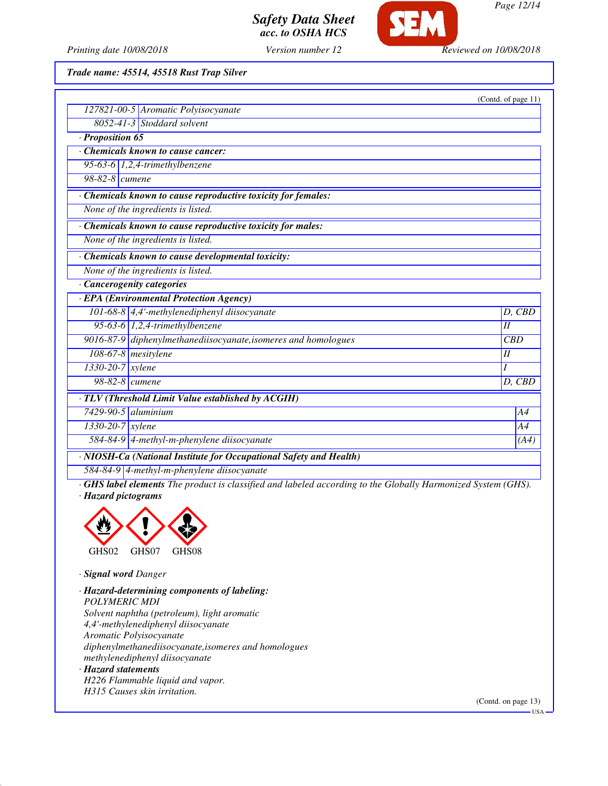

*Printing date 10/08/2018 Version number 12 Reviewed on 10/08/2018*

*Trade name: 45514, 45518 Rust Trap Silver*

|                                                                    | (Contd. of page 11) |
|--------------------------------------------------------------------|---------------------|
| 127821-00-5 Aromatic Polyisocyanate                                |                     |
| $8052 - 41 - 3$ Stoddard solvent                                   |                     |
| Proposition 65                                                     |                     |
| <b>Chemicals known to cause cancer:</b>                            |                     |
| $\overline{95-63-6}$ 1,2,4-trimethylbenzene                        |                     |
| 98-82-8 cumene                                                     |                     |
| Chemicals known to cause reproductive toxicity for females:        |                     |
| None of the ingredients is listed.                                 |                     |
| Chemicals known to cause reproductive toxicity for males:          |                     |
| None of the ingredients is listed.                                 |                     |
| Chemicals known to cause developmental toxicity:                   |                     |
| None of the ingredients is listed.                                 |                     |
| · Cancerogenity categories                                         |                     |
| · EPA (Environmental Protection Agency)                            |                     |
| 101-68-8 $\vert$ 4,4'-methylenediphenyl diisocyanate               | D, CBD              |
| 95-63-6 $1,2,4$ -trimethylbenzene                                  | II                  |
| 9016-87-9 diphenylmethanediisocyanate, isomeres and homologues     | CBD                 |
| 108-67-8 mesitylene                                                | I                   |
| 1330-20-7 xylene                                                   | I                   |
| 98-82-8 cumene                                                     | D, CBD              |
| · TLV (Threshold Limit Value established by ACGIH)                 |                     |
| $7429-90-5$ aluminium                                              | A4                  |
| $1330 - 20 - 7$ <i>xylene</i>                                      | A4                  |
| 584-84-9 4-methyl-m-phenylene diisocyanate                         | (A4)                |
| · NIOSH-Ca (National Institute for Occupational Safety and Health) |                     |
| 584-84-9 4-methyl-m-phenylene diisocyanate                         |                     |

*· GHS label elements The product is classified and labeled according to the Globally Harmonized System (GHS). · Hazard pictograms*



*· Signal word Danger*

*· Hazard-determining components of labeling: POLYMERIC MDI Solvent naphtha (petroleum), light aromatic 4,4'-methylenediphenyl diisocyanate Aromatic Polyisocyanate diphenylmethanediisocyanate,isomeres and homologues methylenediphenyl diisocyanate · Hazard statements H226 Flammable liquid and vapor.*

*H315 Causes skin irritation.*

(Contd. on page 13)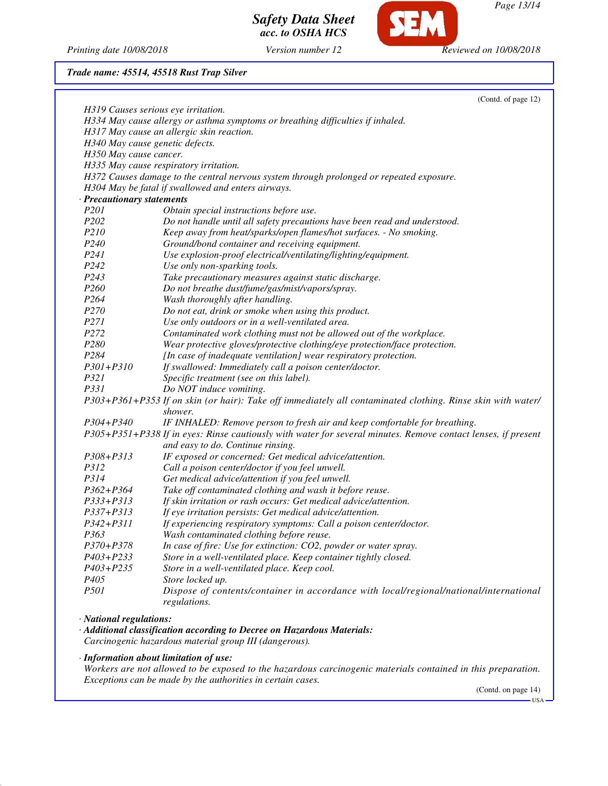**SEM** 

*Page 13/14*

*Printing date 10/08/2018 Version number 12 Reviewed on 10/08/2018*

*Safety Data Sheet acc. to OSHA HCS*

| Trade name: 45514, 45518 Rust Trap Silver |  |  |  |  |  |
|-------------------------------------------|--|--|--|--|--|
|-------------------------------------------|--|--|--|--|--|

|                                     | (Contd. of page 12)                                                                                           |
|-------------------------------------|---------------------------------------------------------------------------------------------------------------|
| H319 Causes serious eye irritation. |                                                                                                               |
|                                     | H334 May cause allergy or asthma symptoms or breathing difficulties if inhaled.                               |
|                                     | H317 May cause an allergic skin reaction.                                                                     |
| H340 May cause genetic defects.     |                                                                                                               |
| H350 May cause cancer.              |                                                                                                               |
|                                     | H335 May cause respiratory irritation.                                                                        |
|                                     | H372 Causes damage to the central nervous system through prolonged or repeated exposure.                      |
|                                     | H304 May be fatal if swallowed and enters airways.                                                            |
| · Precautionary statements          |                                                                                                               |
| P <sub>201</sub>                    | Obtain special instructions before use.                                                                       |
| P202                                | Do not handle until all safety precautions have been read and understood.                                     |
| P210                                | Keep away from heat/sparks/open flames/hot surfaces. - No smoking.                                            |
| P240                                | Ground/bond container and receiving equipment.                                                                |
| P241                                |                                                                                                               |
|                                     | Use explosion-proof electrical/ventilating/lighting/equipment.                                                |
| P242                                | Use only non-sparking tools.                                                                                  |
| P243                                | Take precautionary measures against static discharge.                                                         |
| P260                                | Do not breathe dust/fume/gas/mist/vapors/spray.                                                               |
| P <sub>264</sub>                    | Wash thoroughly after handling.                                                                               |
| P270                                | Do not eat, drink or smoke when using this product.                                                           |
| P271                                | Use only outdoors or in a well-ventilated area.                                                               |
| P272                                | Contaminated work clothing must not be allowed out of the workplace.                                          |
| P280                                | Wear protective gloves/protective clothing/eye protection/face protection.                                    |
| P284                                | [In case of inadequate ventilation] wear respiratory protection.                                              |
| $P301 + P310$                       | If swallowed: Immediately call a poison center/doctor.                                                        |
| P321                                | Specific treatment (see on this label).                                                                       |
| P331                                | Do NOT induce vomiting.                                                                                       |
|                                     | P303+P361+P353 If on skin (or hair): Take off immediately all contaminated clothing. Rinse skin with water/   |
|                                     | shower.                                                                                                       |
| P304+P340                           | IF INHALED: Remove person to fresh air and keep comfortable for breathing.                                    |
|                                     | P305+P351+P338 If in eyes: Rinse cautiously with water for several minutes. Remove contact lenses, if present |
|                                     | and easy to do. Continue rinsing.                                                                             |
| P308+P313                           | IF exposed or concerned: Get medical advice/attention.                                                        |
| P312                                | Call a poison center/doctor if you feel unwell.                                                               |
| P314                                | Get medical advice/attention if you feel unwell.                                                              |
| $P362 + P364$                       | Take off contaminated clothing and wash it before reuse.                                                      |
| P333+P313                           | If skin irritation or rash occurs: Get medical advice/attention.                                              |
| P337+P313                           | If eye irritation persists: Get medical advice/attention.                                                     |
| P342+P311                           | If experiencing respiratory symptoms: Call a poison center/doctor.                                            |
| P363                                | Wash contaminated clothing before reuse.                                                                      |
| P370+P378                           | In case of fire: Use for extinction: CO2, powder or water spray.                                              |
| P403+P233                           | Store in a well-ventilated place. Keep container tightly closed.                                              |
| $P403 + P235$                       | Store in a well-ventilated place. Keep cool.                                                                  |
| P405                                | Store locked up.                                                                                              |
| <i>P501</i>                         |                                                                                                               |
|                                     | Dispose of contents/container in accordance with local/regional/national/international                        |
|                                     | regulations.                                                                                                  |
| · National regulations:             |                                                                                                               |

*· Additional classification according to Decree on Hazardous Materials: Carcinogenic hazardous material group III (dangerous).*

*· Information about limitation of use:*

*Workers are not allowed to be exposed to the hazardous carcinogenic materials contained in this preparation. Exceptions can be made by the authorities in certain cases.*

(Contd. on page 14) USA